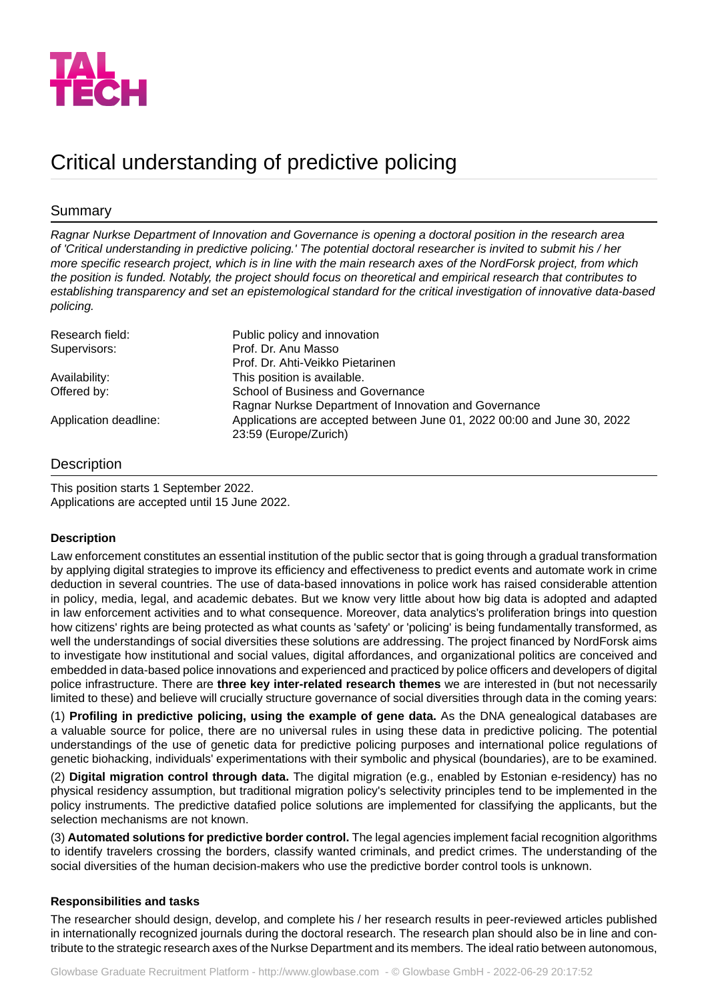

# Critical understanding of predictive policing

## Summary

*Ragnar Nurkse Department of Innovation and Governance is opening a doctoral position in the research area of 'Critical understanding in predictive policing.' The potential doctoral researcher is invited to submit his / her more specific research project, which is in line with the main research axes of the NordForsk project, from which* the position is funded. Notably, the project should focus on theoretical and empirical research that contributes to *establishing transparency and set an epistemological standard for the critical investigation of innovative data-based policing.*

| Research field:       | Public policy and innovation                                                                     |
|-----------------------|--------------------------------------------------------------------------------------------------|
| Supervisors:          | Prof. Dr. Anu Masso                                                                              |
|                       | Prof. Dr. Ahti-Veikko Pietarinen                                                                 |
| Availability:         | This position is available.                                                                      |
| Offered by:           | School of Business and Governance<br>Ragnar Nurkse Department of Innovation and Governance       |
| Application deadline: | Applications are accepted between June 01, 2022 00:00 and June 30, 2022<br>23:59 (Europe/Zurich) |

## **Description**

This position starts 1 September 2022. Applications are accepted until 15 June 2022.

#### **Description**

Law enforcement constitutes an essential institution of the public sector that is going through a gradual transformation by applying digital strategies to improve its efficiency and effectiveness to predict events and automate work in crime deduction in several countries. The use of data-based innovations in police work has raised considerable attention in policy, media, legal, and academic debates. But we know very little about how big data is adopted and adapted in law enforcement activities and to what consequence. Moreover, data analytics's proliferation brings into question how citizens' rights are being protected as what counts as 'safety' or 'policing' is being fundamentally transformed, as well the understandings of social diversities these solutions are addressing. The project financed by NordForsk aims to investigate how institutional and social values, digital affordances, and organizational politics are conceived and embedded in data-based police innovations and experienced and practiced by police officers and developers of digital police infrastructure. There are **three key inter-related research themes** we are interested in (but not necessarily limited to these) and believe will crucially structure governance of social diversities through data in the coming years:

(1) **Profiling in predictive policing, using the example of gene data.** As the DNA genealogical databases are a valuable source for police, there are no universal rules in using these data in predictive policing. The potential understandings of the use of genetic data for predictive policing purposes and international police regulations of genetic biohacking, individuals' experimentations with their symbolic and physical (boundaries), are to be examined.

(2) **Digital migration control through data.** The digital migration (e.g., enabled by Estonian e-residency) has no physical residency assumption, but traditional migration policy's selectivity principles tend to be implemented in the policy instruments. The predictive datafied police solutions are implemented for classifying the applicants, but the selection mechanisms are not known.

(3) **Automated solutions for predictive border control.** The legal agencies implement facial recognition algorithms to identify travelers crossing the borders, classify wanted criminals, and predict crimes. The understanding of the social diversities of the human decision-makers who use the predictive border control tools is unknown.

#### **Responsibilities and tasks**

The researcher should design, develop, and complete his / her research results in peer-reviewed articles published in internationally recognized journals during the doctoral research. The research plan should also be in line and contribute to the strategic research axes of the Nurkse Department and its members. The ideal ratio between autonomous,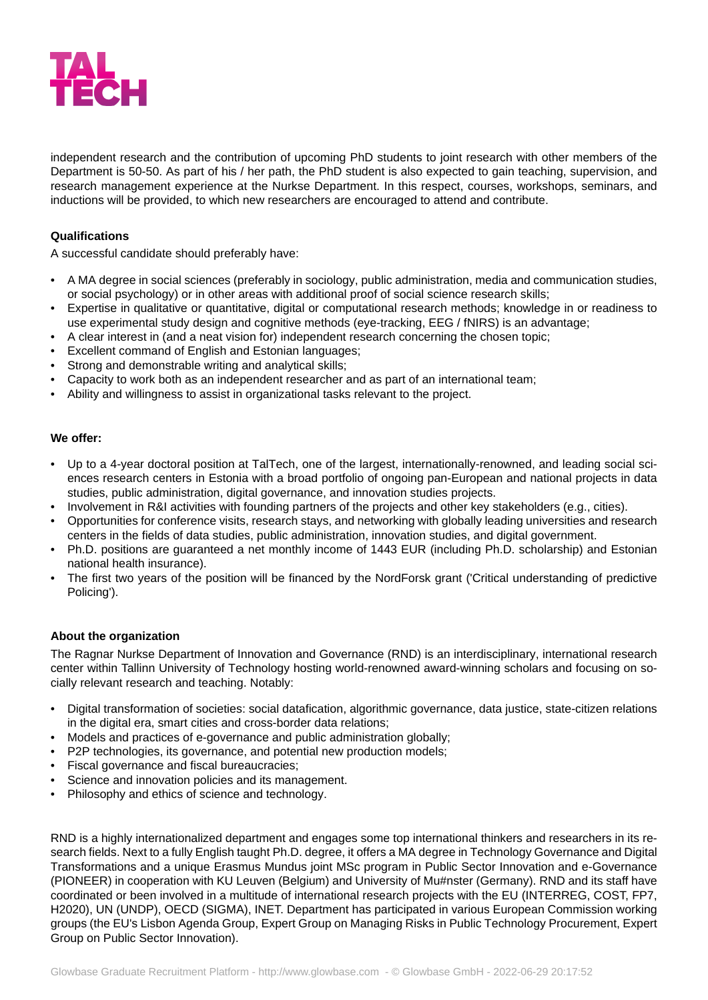

independent research and the contribution of upcoming PhD students to joint research with other members of the Department is 50-50. As part of his / her path, the PhD student is also expected to gain teaching, supervision, and research management experience at the Nurkse Department. In this respect, courses, workshops, seminars, and inductions will be provided, to which new researchers are encouraged to attend and contribute.

#### **Qualifications**

A successful candidate should preferably have:

- A MA degree in social sciences (preferably in sociology, public administration, media and communication studies, or social psychology) or in other areas with additional proof of social science research skills;
- Expertise in qualitative or quantitative, digital or computational research methods; knowledge in or readiness to use experimental study design and cognitive methods (eye-tracking, EEG / fNIRS) is an advantage;
- A clear interest in (and a neat vision for) independent research concerning the chosen topic;
- Excellent command of English and Estonian languages;
- Strong and demonstrable writing and analytical skills;
- Capacity to work both as an independent researcher and as part of an international team;
- Ability and willingness to assist in organizational tasks relevant to the project.

#### **We offer:**

- Up to a 4-year doctoral position at TalTech, one of the largest, internationally-renowned, and leading social sciences research centers in Estonia with a broad portfolio of ongoing pan-European and national projects in data studies, public administration, digital governance, and innovation studies projects.
- Involvement in R&I activities with founding partners of the projects and other key stakeholders (e.g., cities).
- Opportunities for conference visits, research stays, and networking with globally leading universities and research centers in the fields of data studies, public administration, innovation studies, and digital government.
- Ph.D. positions are guaranteed a net monthly income of 1443 EUR (including Ph.D. scholarship) and Estonian national health insurance).
- The first two years of the position will be financed by the NordForsk grant ('Critical understanding of predictive Policing').

#### **About the organization**

The Ragnar Nurkse Department of Innovation and Governance (RND) is an interdisciplinary, international research center within Tallinn University of Technology hosting world-renowned award-winning scholars and focusing on socially relevant research and teaching. Notably:

- Digital transformation of societies: social datafication, algorithmic governance, data justice, state-citizen relations in the digital era, smart cities and cross-border data relations;
- Models and practices of e-governance and public administration globally;
- P2P technologies, its governance, and potential new production models;
- Fiscal governance and fiscal bureaucracies;
- Science and innovation policies and its management.
- Philosophy and ethics of science and technology.

RND is a highly internationalized department and engages some top international thinkers and researchers in its research fields. Next to a fully English taught Ph.D. degree, it offers a MA degree in Technology Governance and Digital Transformations and a unique Erasmus Mundus joint MSc program in Public Sector Innovation and e-Governance (PIONEER) in cooperation with KU Leuven (Belgium) and University of Mu#nster (Germany). RND and its staff have coordinated or been involved in a multitude of international research projects with the EU (INTERREG, COST, FP7, H2020), UN (UNDP), OECD (SIGMA), INET. Department has participated in various European Commission working groups (the EU's Lisbon Agenda Group, Expert Group on Managing Risks in Public Technology Procurement, Expert Group on Public Sector Innovation).